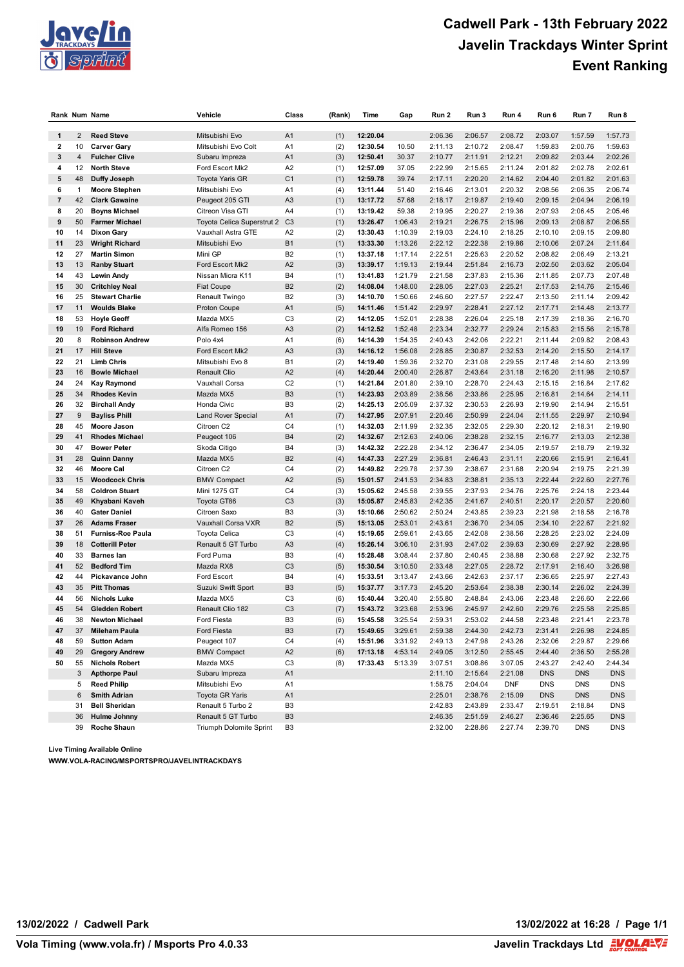

## **Cadwell Park - 13th February 2022 Javelin Trackdays Winter Sprint Event Ranking**

|                         |                | Rank Num Name                                | Vehicle                             | Class                            | (Rank)     | Time                 | Gap                | Run 2              | Run 3              | Run 4              | Run 6              | Run 7              | Run 8              |
|-------------------------|----------------|----------------------------------------------|-------------------------------------|----------------------------------|------------|----------------------|--------------------|--------------------|--------------------|--------------------|--------------------|--------------------|--------------------|
|                         |                |                                              |                                     |                                  |            |                      |                    |                    |                    |                    |                    |                    |                    |
| $\mathbf{1}$            | $\overline{2}$ | <b>Reed Steve</b>                            | Mitsubishi Evo                      | A1                               | (1)        | 12:20.04             |                    | 2:06.36            | 2:06.57            | 2:08.72            | 2:03.07            | 1:57.59            | 1:57.73            |
| $\mathbf{2}$            | 10             | <b>Carver Gary</b>                           | Mitsubishi Evo Colt                 | A <sub>1</sub>                   | (2)        | 12:30.54             | 10.50              | 2:11.13            | 2:10.72            | 2:08.47            | 1:59.83            | 2:00.76            | 1:59.63            |
| 3                       | 4              | <b>Fulcher Clive</b>                         | Subaru Impreza                      | A <sub>1</sub>                   | (3)        | 12:50.41             | 30.37              | 2:10.77            | 2:11.91            | 2:12.21            | 2:09.82            | 2:03.44            | 2:02.26            |
| 4                       | 12             | <b>North Steve</b>                           | Ford Escort Mk2                     | A2                               | (1)        | 12:57.09             | 37.05              | 2:22.99            | 2:15.65            | 2:11.24            | 2:01.82            | 2:02.78            | 2:02.61            |
| 5                       | 48             | Duffy Joseph                                 | <b>Toyota Yaris GR</b>              | C <sub>1</sub>                   | (1)        | 12:59.78             | 39.74              | 2:17.11            | 2:20.20            | 2:14.62            | 2:04.40            | 2:01.82            | 2:01.63            |
| 6                       | 1              | <b>Moore Stephen</b>                         | Mitsubishi Evo                      | A <sub>1</sub>                   | (4)        | 13:11.44             | 51.40              | 2:16.46            | 2:13.01            | 2:20.32            | 2:08.56            | 2:06.35            | 2:06.74            |
| $\overline{\mathbf{r}}$ | 42             | <b>Clark Gawaine</b>                         | Peugeot 205 GTI                     | A <sub>3</sub>                   | (1)        | 13:17.72             | 57.68              | 2:18.17            | 2:19.87            | 2:19.40            | 2:09.15            | 2:04.94            | 2:06.19            |
| 8                       | 20             | <b>Boyns Michael</b>                         | Citreon Visa GTI                    | A4                               | (1)        | 13:19.42             | 59.38              | 2:19.95            | 2:20.27            | 2:19.36            | 2:07.93            | 2:06.45            | 2:05.46            |
| 9                       | 50             | <b>Farmer Michael</b>                        | Toyota Celica Superstrut 2          | C <sub>3</sub>                   | (1)        | 13:26.47             | 1:06.43            | 2:19.21            | 2:26.75            | 2:15.96            | 2:09.13            | 2:08.87            | 2:06.55            |
| 10                      | 14             | <b>Dixon Gary</b>                            | Vauxhall Astra GTE                  | A <sub>2</sub>                   | (2)        | 13:30.43             | 1:10.39            | 2:19.03            | 2:24.10            | 2:18.25            | 2:10.10            | 2:09.15            | 2:09.80            |
| 11                      | 23             | <b>Wright Richard</b><br><b>Martin Simon</b> | Mitsubishi Evo                      | <b>B1</b>                        | (1)        | 13:33.30             | 1:13.26            | 2:22.12            | 2:22.38            | 2:19.86            | 2:10.06            | 2:07.24            | 2:11.64            |
| 12                      | 27             |                                              | Mini GP                             | B <sub>2</sub>                   | (1)        | 13:37.18             | 1:17.14            | 2:22.51            | 2:25.63<br>2:51.84 | 2:20.52            | 2:08.82            | 2:06.49            | 2:13.21            |
| 13                      | 13             | <b>Ranby Stuart</b>                          | Ford Escort Mk2                     | A2                               | (3)        | 13:39.17             | 1:19.13            | 2:19.44            |                    | 2:16.73            | 2:02.50            | 2:03.62            | 2:05.04            |
| 14                      | 43             | <b>Lewin Andy</b>                            | Nissan Micra K11                    | B4                               | (1)        | 13:41.83             | 1:21.79            | 2:21.58            | 2:37.83            | 2:15.36            | 2:11.85            | 2:07.73            | 2:07.48            |
| 15                      | 30             | <b>Critchley Neal</b>                        | <b>Fiat Coupe</b>                   | B <sub>2</sub>                   | (2)        | 14:08.04             | 1:48.00            | 2:28.05            | 2:27.03            | 2:25.21            | 2:17.53            | 2:14.76            | 2:15.46            |
| 16                      | 25             | <b>Stewart Charlie</b>                       | Renault Twingo                      | B <sub>2</sub>                   | (3)        | 14:10.70             | 1:50.66            | 2:46.60            | 2:27.57            | 2:22.47            | 2:13.50            | 2:11.14            | 2:09.42            |
| 17                      | 11             | <b>Woulds Blake</b>                          | Proton Coupe                        | A <sub>1</sub>                   | (5)        | 14:11.46             | 1:51.42            | 2:29.97            | 2:28.41            | 2:27.12            | 2:17.71            | 2:14.48            | 2:13.77            |
| 18                      | 53             | <b>Hoyle Geoff</b>                           | Mazda MX5                           | C <sub>3</sub>                   | (2)        | 14:12.05             | 1:52.01            | 2:28.38            | 2:26.04            | 2:25.18            | 2:17.39            | 2:18.36            | 2:16.70            |
| 19                      | 19             | <b>Ford Richard</b>                          | Alfa Romeo 156                      | A3                               | (2)        | 14:12.52             | 1:52.48            | 2:23.34            | 2:32.77            | 2:29.24            | 2:15.83            | 2:15.56            | 2:15.78            |
| 20                      | 8              | <b>Robinson Andrew</b>                       | Polo 4x4                            | A <sub>1</sub>                   | (6)        | 14:14.39             | 1:54.35            | 2:40.43            | 2:42.06            | 2:22.21            | 2:11.44            | 2:09.82            | 2:08.43            |
| 21<br>22                | 17             | <b>Hill Steve</b>                            | Ford Escort Mk2<br>Mitsubishi Evo 8 | A <sub>3</sub>                   | (3)        | 14:16.12             | 1:56.08            | 2:28.85            | 2:30.87<br>2:31.08 | 2:32.53            | 2:14.20            | 2:15.50            | 2:14.17            |
|                         | 21             | <b>Limb Chris</b>                            |                                     | <b>B1</b>                        | (2)        | 14:19.40             | 1:59.36            | 2:32.70            |                    | 2:29.55            | 2:17.48            | 2:14.60            | 2:13.99            |
| 23                      | 16             | <b>Bowle Michael</b>                         | <b>Renault Clio</b>                 | A2                               | (4)        | 14:20.44             | 2:00.40            | 2:26.87            | 2:43.64            | 2:31.18            | 2:16.20            | 2:11.98            | 2:10.57            |
| 24                      | 24             | <b>Kay Raymond</b>                           | Vauxhall Corsa                      | C <sub>2</sub>                   | (1)        | 14:21.84             | 2:01.80            | 2:39.10            | 2:28.70            | 2:24.43            | 2:15.15            | 2:16.84            | 2:17.62            |
| 25                      | 34             | <b>Rhodes Kevin</b>                          | Mazda MX5                           | B <sub>3</sub>                   | (1)        | 14:23.93             | 2:03.89            | 2:38.56            | 2:33.86            | 2:25.95            | 2:16.81            | 2:14.64            | 2:14.11            |
| 26                      | 32             | <b>Birchall Andy</b>                         | Honda Civic                         | B <sub>3</sub>                   | (2)        | 14:25.13             | 2:05.09            | 2:37.32            | 2:30.53            | 2:26.93            | 2:19.90            | 2:14.94<br>2:29.97 | 2:15.51            |
| 27                      | 9              | <b>Bayliss Phill</b>                         | <b>Land Rover Special</b>           | A <sub>1</sub>                   | (7)        | 14:27.95             | 2:07.91            | 2:20.46            | 2:50.99            | 2:24.04            | 2:11.55            |                    | 2:10.94            |
| 28                      | 45             | <b>Moore Jason</b>                           | Citroen C2                          | C <sub>4</sub>                   | (1)        | 14:32.03             | 2:11.99            | 2:32.35            | 2:32.05            | 2:29.30            | 2:20.12            | 2:18.31            | 2:19.90            |
| 29                      | 41             | <b>Rhodes Michael</b>                        | Peugeot 106                         | <b>B4</b>                        | (2)        | 14:32.67             | 2:12.63            | 2:40.06            | 2:38.28            | 2:32.15            | 2:16.77            | 2:13.03            | 2:12.38            |
| 30                      | 47             | <b>Bower Peter</b>                           | Skoda Citigo                        | B4                               | (3)        | 14:42.32             | 2:22.28            | 2:34.12            | 2:36.47            | 2:34.05            | 2:19.57            | 2:18.79            | 2:19.32            |
| 31<br>32                | 28             | <b>Quinn Danny</b>                           | Mazda MX5                           | B <sub>2</sub><br>C <sub>4</sub> | (4)        | 14:47.33             | 2:27.29            | 2:36.81            | 2:46.43            | 2:31.11            | 2:20.66<br>2:20.94 | 2:15.91            | 2:16.41<br>2:21.39 |
| 33                      | 46<br>15       | <b>Moore Cal</b><br><b>Woodcock Chris</b>    | Citroen C2                          | A2                               | (2)        | 14:49.82             | 2:29.78<br>2:41.53 | 2:37.39<br>2:34.83 | 2:38.67<br>2:38.81 | 2:31.68<br>2:35.13 | 2:22.44            | 2:19.75<br>2:22.60 | 2:27.76            |
| 34                      | 58             | <b>Coldron Stuart</b>                        | <b>BMW Compact</b><br>Mini 1275 GT  | C <sub>4</sub>                   | (5)        | 15:01.57<br>15:05.62 | 2:45.58            | 2:39.55            | 2:37.93            | 2:34.76            | 2:25.76            | 2:24.18            | 2:23.44            |
| 35                      | 49             | Khyabani Kaveh                               | Toyota GT86                         | C <sub>3</sub>                   | (3)<br>(3) | 15:05.87             | 2:45.83            | 2:42.35            | 2:41.67            | 2:40.51            | 2:20.17            | 2:20.57            | 2:20.60            |
| 36                      | 40             | <b>Gater Daniel</b>                          | Citroen Saxo                        | B <sub>3</sub>                   |            | 15:10.66             | 2:50.62            | 2:50.24            | 2:43.85            | 2:39.23            | 2:21.98            | 2:18.58            | 2:16.78            |
| 37                      | 26             | <b>Adams Fraser</b>                          | Vauxhall Corsa VXR                  | B <sub>2</sub>                   | (3)        | 15:13.05             | 2:53.01            | 2:43.61            | 2:36.70            | 2:34.05            | 2:34.10            | 2:22.67            | 2:21.92            |
| 38                      | 51             | <b>Furniss-Roe Paula</b>                     | <b>Toyota Celica</b>                | C <sub>3</sub>                   | (5)<br>(4) | 15:19.65             | 2:59.61            | 2:43.65            | 2:42.08            | 2:38.56            | 2:28.25            | 2:23.02            | 2:24.09            |
| 39                      | 18             | <b>Cotterill Peter</b>                       | Renault 5 GT Turbo                  | A <sub>3</sub>                   | (4)        | 15:26.14             | 3:06.10            | 2:31.93            | 2:47.02            | 2:39.63            | 2:30.69            | 2:27.92            | 2:28.95            |
| 40                      | 33             | <b>Barnes lan</b>                            | Ford Puma                           | B <sub>3</sub>                   | (4)        | 15:28.48             | 3:08.44            | 2:37.80            | 2:40.45            | 2:38.88            | 2:30.68            | 2:27.92            | 2:32.75            |
| 41                      | 52             | <b>Bedford Tim</b>                           | Mazda RX8                           | C <sub>3</sub>                   | (5)        | 15:30.54             | 3:10.50            | 2:33.48            | 2:27.05            | 2:28.72            | 2:17.91            | 2:16.40            | 3:26.98            |
| 42                      | 44             | <b>Pickavance John</b>                       | <b>Ford Escort</b>                  | <b>B4</b>                        | (4)        | 15:33.51             | 3:13.47            | 2:43.66            | 2:42.63            | 2:37.17            | 2:36.65            | 2:25.97            | 2:27.43            |
| 43                      | 35             | <b>Pitt Thomas</b>                           | Suzuki Swift Sport                  | B <sub>3</sub>                   | (5)        | 15:37.77             | 3:17.73            | 2:45.20            | 2:53.64            | 2:38.38            | 2:30.14            | 2:26.02            | 2:24.39            |
| 44                      | 56             | <b>Nichols Luke</b>                          | Mazda MX5                           | C <sub>3</sub>                   | (6)        | 15:40.44             | 3:20.40            | 2:55.80            | 2:48.84            | 2:43.06            | 2:23.48            | 2:26.60            | 2:22.66            |
| 45                      | 54             | <b>Gledden Robert</b>                        | Renault Clio 182                    | C <sub>3</sub>                   | (7)        | 15:43.72             | 3:23.68            | 2:53.96            | 2:45.97            | 2:42.60            | 2:29.76            | 2:25.58            | 2:25.85            |
| 46                      | 38             | <b>Newton Michael</b>                        | Ford Fiesta                         | B <sub>3</sub>                   | (6)        | 15:45.58             | 3:25.54            | 2:59.31            | 2:53.02            | 2:44.58            | 2:23.48            | 2:21.41            | 2:23.78            |
| 47                      | 37             | <b>Mileham Paula</b>                         | Ford Fiesta                         | B <sub>3</sub>                   | (7)        | 15:49.65             | 3:29.61            | 2:59.38            | 2:44.30            | 2:42.73            | 2:31.41            | 2:26.98            | 2:24.85            |
| 48                      | 59             | <b>Sutton Adam</b>                           | Peugeot 107                         | C4                               | (4)        | 15:51.96             | 3:31.92            | 2:49.13            | 2:47.98            | 2:43.26            | 2:32.06            | 2:29.87            | 2:29.66            |
| 49                      | 29             | <b>Gregory Andrew</b>                        | <b>BMW Compact</b>                  | A <sub>2</sub>                   | (6)        | 17:13.18             | 4:53.14            | 2:49.05            | 3:12.50            | 2:55.45            | 2:44.40            | 2:36.50            | 2:55.28            |
| 50                      | 55             | <b>Nichols Robert</b>                        | Mazda MX5                           | C <sub>3</sub>                   | (8)        | 17:33.43             | 5:13.39            | 3:07.51            | 3:08.86            | 3:07.05            | 2:43.27            | 2:42.40            | 2:44.34            |
|                         | 3              | <b>Apthorpe Paul</b>                         | Subaru Impreza                      | A <sub>1</sub>                   |            |                      |                    | 2:11.10            | 2:15.64            | 2:21.08            | <b>DNS</b>         | <b>DNS</b>         | <b>DNS</b>         |
|                         | 5              | <b>Reed Philip</b>                           | Mitsubishi Evo                      | A1                               |            |                      |                    | 1:58.75            | 2:04.04            | <b>DNF</b>         | <b>DNS</b>         | <b>DNS</b>         | <b>DNS</b>         |
|                         | 6              | <b>Smith Adrian</b>                          | <b>Toyota GR Yaris</b>              | A <sub>1</sub>                   |            |                      |                    | 2:25.01            | 2:38.76            | 2:15.09            | <b>DNS</b>         | <b>DNS</b>         | <b>DNS</b>         |
|                         | 31             | <b>Bell Sheridan</b>                         | Renault 5 Turbo 2                   | B <sub>3</sub>                   |            |                      |                    | 2:42.83            | 2:43.89            | 2:33.47            | 2:19.51            | 2:18.84            | <b>DNS</b>         |
|                         | 36             | <b>Hulme Johnny</b>                          | Renault 5 GT Turbo                  | B <sub>3</sub>                   |            |                      |                    | 2:46.35            | 2:51.59            | 2:46.27            | 2:36.46            | 2:25.65            | <b>DNS</b>         |
|                         | 39             | Roche Shaun                                  | Triumph Dolomite Sprint             | B <sub>3</sub>                   |            |                      |                    | 2:32.00            | 2:28.86            | 2:27.74            | 2:39.70            | DNS                | <b>DNS</b>         |

**Live Timing Available Online**

**WWW.VOLA-RACING/MSPORTSPRO/JAVELINTRACKDAYS**

**13/02/2022 / Cadwell Park 13/02/2022 at 16:28 / Page 1/1**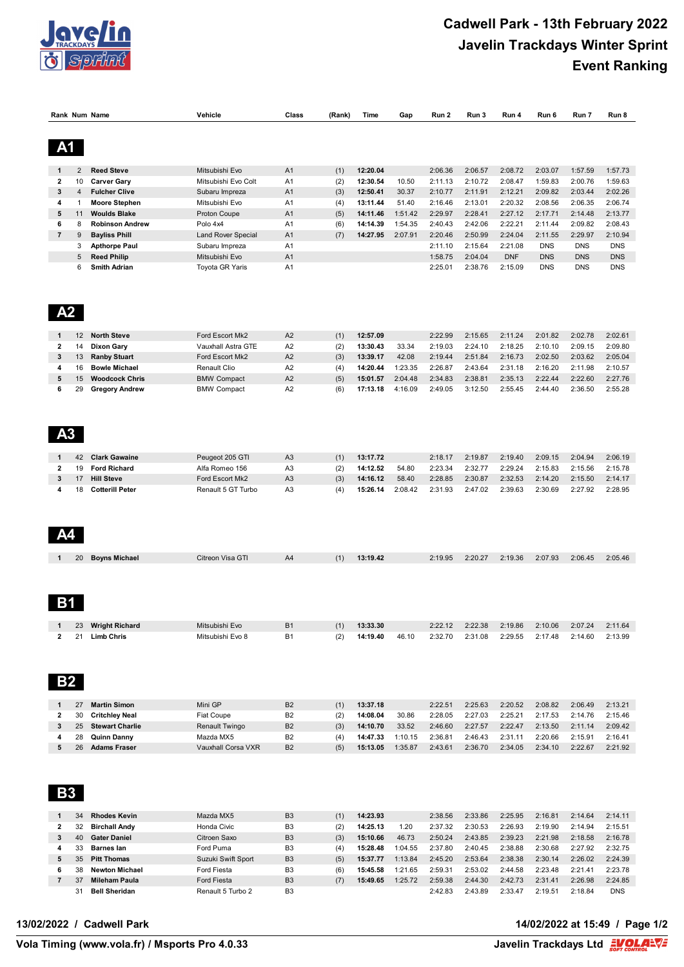

## **Cadwell Park - 13th February 2022 Javelin Trackdays Winter Sprint Event Ranking**

| Rank Num Name       |                   |                                               | Vehicle                            | Class                            | (Rank)     | Time                 | Gap                | Run 2              | Run 3              | Run 4                 | Run 6                    | Run 7                    | Run 8                    |
|---------------------|-------------------|-----------------------------------------------|------------------------------------|----------------------------------|------------|----------------------|--------------------|--------------------|--------------------|-----------------------|--------------------------|--------------------------|--------------------------|
|                     |                   |                                               |                                    |                                  |            |                      |                    |                    |                    |                       |                          |                          |                          |
| A <sub>1</sub>      |                   |                                               |                                    |                                  |            |                      |                    |                    |                    |                       |                          |                          |                          |
| 1                   | $\overline{2}$    | <b>Reed Steve</b>                             | Mitsubishi Evo                     | A <sub>1</sub>                   | (1)        | 12:20.04             |                    | 2:06.36            | 2:06.57            | 2:08.72               | 2:03.07                  | 1:57.59                  | 1:57.73                  |
| $\mathbf{2}$        | 10                | <b>Carver Gary</b>                            | Mitsubishi Evo Colt                | A <sub>1</sub>                   | (2)        | 12:30.54             | 10.50              | 2:11.13            | 2:10.72            | 2:08.47               | 1:59.83                  | 2:00.76                  | 1:59.63                  |
| 3                   | 4                 | <b>Fulcher Clive</b>                          | Subaru Impreza                     | A <sub>1</sub>                   | (3)        | 12:50.41             | 30.37              | 2:10.77            | 2:11.91            | 2:12.21               | 2:09.82                  | 2:03.44                  | 2:02.26                  |
| 4                   | $\mathbf{1}$      | <b>Moore Stephen</b>                          | Mitsubishi Evo                     | A <sub>1</sub>                   | (4)        | 13:11.44             | 51.40              | 2:16.46            | 2:13.01            | 2:20.32               | 2:08.56                  | 2:06.35                  | 2:06.74                  |
| 5                   | 11                | <b>Woulds Blake</b>                           | Proton Coupe                       | A <sub>1</sub>                   | (5)        | 14:11.46             | 1:51.42            | 2:29.97            | 2:28.41            | 2:27.12               | 2:17.71                  | 2:14.48                  | 2:13.77                  |
| 6                   | 8                 | <b>Robinson Andrew</b>                        | Polo 4x4                           | A <sub>1</sub>                   | (6)        | 14:14.39             | 1:54.35            | 2:40.43            | 2:42.06            | 2:22.21               | 2:11.44                  | 2:09.82                  | 2:08.43                  |
| $\overline{7}$      | 9                 | <b>Bayliss Phill</b>                          | <b>Land Rover Special</b>          | A <sub>1</sub>                   | (7)        | 14:27.95             | 2:07.91            | 2:20.46            | 2:50.99            | 2:24.04               | 2:11.55                  | 2:29.97                  | 2:10.94                  |
|                     | 3                 | <b>Apthorpe Paul</b>                          | Subaru Impreza                     | A1                               |            |                      |                    | 2:11.10            | 2:15.64            | 2:21.08               | <b>DNS</b>               | <b>DNS</b>               | <b>DNS</b>               |
|                     | 5<br>6            | <b>Reed Philip</b><br><b>Smith Adrian</b>     | Mitsubishi Evo<br>Toyota GR Yaris  | A <sub>1</sub><br>A <sub>1</sub> |            |                      |                    | 1:58.75<br>2:25.01 | 2:04.04<br>2:38.76 | <b>DNF</b><br>2:15.09 | <b>DNS</b><br><b>DNS</b> | <b>DNS</b><br><b>DNS</b> | <b>DNS</b><br><b>DNS</b> |
|                     |                   |                                               |                                    |                                  |            |                      |                    |                    |                    |                       |                          |                          |                          |
| A2                  |                   |                                               |                                    |                                  |            |                      |                    |                    |                    |                       |                          |                          |                          |
| 1                   | $12 \overline{ }$ | <b>North Steve</b>                            | Ford Escort Mk2                    | A2                               | (1)        | 12:57.09             |                    | 2:22.99            | 2:15.65            | 2:11.24               | 2:01.82                  | 2:02.78                  | 2:02.61                  |
| $\mathbf{2}$        | 14                | <b>Dixon Gary</b>                             | Vauxhall Astra GTE                 | A <sub>2</sub>                   | (2)        | 13:30.43             | 33.34              | 2:19.03            | 2:24.10            | 2:18.25               | 2:10.10                  | 2:09.15                  | 2:09.80                  |
| 3                   | 13                | <b>Ranby Stuart</b>                           | Ford Escort Mk2                    | A2                               | (3)        | 13:39.17             | 42.08              | 2:19.44            | 2:51.84            | 2:16.73               | 2:02.50                  | 2:03.62                  | 2:05.04                  |
| 4<br>5              | 16<br>15          | <b>Bowle Michael</b><br><b>Woodcock Chris</b> | Renault Clio<br><b>BMW Compact</b> | A <sub>2</sub><br>A2             | (4)<br>(5) | 14:20.44<br>15:01.57 | 1:23.35<br>2:04.48 | 2:26.87<br>2:34.83 | 2:43.64<br>2:38.81 | 2:31.18<br>2:35.13    | 2:16.20<br>2:22.44       | 2:11.98<br>2:22.60       | 2:10.57<br>2:27.76       |
| 6                   | 29                | <b>Gregory Andrew</b>                         | <b>BMW Compact</b>                 | A <sub>2</sub>                   | (6)        | 17:13.18             | 4:16.09            | 2:49.05            | 3:12.50            | 2:55.45               | 2:44.40                  | 2:36.50                  | 2:55.28                  |
|                     |                   |                                               |                                    |                                  |            |                      |                    |                    |                    |                       |                          |                          |                          |
| A <sub>3</sub>      |                   |                                               |                                    |                                  |            |                      |                    |                    |                    |                       |                          |                          |                          |
| 1                   | 42                | <b>Clark Gawaine</b><br><b>Ford Richard</b>   | Peugeot 205 GTI                    | A <sub>3</sub>                   | (1)        | 13:17.72             |                    | 2:18.17            | 2:19.87            | 2:19.40               | 2:09.15                  | 2:04.94                  | 2:06.19                  |
| $\mathbf{2}$<br>3   | 19<br>17          | <b>Hill Steve</b>                             | Alfa Romeo 156<br>Ford Escort Mk2  | A <sub>3</sub><br>A <sub>3</sub> | (2)<br>(3) | 14:12.52<br>14:16.12 | 54.80<br>58.40     | 2:23.34<br>2:28.85 | 2:32.77<br>2:30.87 | 2:29.24<br>2:32.53    | 2:15.83<br>2:14.20       | 2:15.56<br>2:15.50       | 2:15.78<br>2:14.17       |
| 4                   | 18                | <b>Cotterill Peter</b>                        | Renault 5 GT Turbo                 | A3                               | (4)        | 15:26.14             | 2:08.42            | 2:31.93            | 2:47.02            | 2:39.63               | 2:30.69                  | 2:27.92                  | 2:28.95                  |
|                     |                   |                                               |                                    |                                  |            |                      |                    |                    |                    |                       |                          |                          |                          |
|                     | 20                | <b>Boyns Michael</b>                          | Citreon Visa GTI                   | A4                               | (1)        | 13:19.42             |                    | 2:19.95            | 2:20.27            | 2:19.36               | 2:07.93                  | 2:06.45                  | 2:05.46                  |
| Β1<br>1             | 23                | <b>Wright Richard</b>                         | Mitsubishi Evo                     | <b>B1</b>                        |            | 13:33.30             |                    | 2:22.12            | 2:22.38            | 2:19.86               |                          | 2:07.24                  | 2:11.64                  |
| 2                   | 21                | <b>Limb Chris</b>                             | Mitsubishi Evo 8                   | <b>B1</b>                        | (1)<br>(2) | 14:19.40             | 46.10              | 2:32.70            | 2:31.08            | 2:29.55               | 2:10.06<br>2:17.48       | 2:14.60                  | 2:13.99                  |
| <b>B2</b>           |                   |                                               |                                    |                                  |            |                      |                    |                    |                    |                       |                          |                          |                          |
| 1                   | 27                | <b>Martin Simon</b>                           | Mini GP                            | B <sub>2</sub>                   | (1)        | 13:37.18             |                    | 2:22.51            | 2:25.63            | 2:20.52               | 2:08.82                  | 2:06.49                  | 2:13.21                  |
| $\mathbf{2}$        | 30                | <b>Critchley Neal</b>                         | <b>Fiat Coupe</b>                  | B <sub>2</sub>                   | (2)        | 14:08.04             | 30.86              | 2:28.05            | 2:27.03            | 2:25.21               | 2:17.53                  | 2:14.76                  | 2:15.46                  |
| 3                   | 25                | <b>Stewart Charlie</b>                        | <b>Renault Twingo</b>              | B <sub>2</sub>                   | (3)        | 14:10.70             | 33.52              | 2:46.60            | 2:27.57            | 2:22.47               | 2:13.50                  | 2:11.14                  | 2:09.42                  |
| 4                   | 28                | <b>Quinn Danny</b>                            | Mazda MX5                          | B <sub>2</sub>                   | (4)        | 14:47.33             | 1:10.15            | 2:36.81            | 2:46.43            | 2:31.11               | 2:20.66                  | 2:15.91                  | 2:16.41                  |
| 5                   | 26                | <b>Adams Fraser</b>                           | Vauxhall Corsa VXR                 | B <sub>2</sub>                   | (5)        | 15:13.05             | 1:35.87            | 2:43.61            | 2:36.70            | 2:34.05               | 2:34.10                  | 2:22.67                  | 2:21.92                  |
| <b>B3</b>           |                   |                                               |                                    |                                  |            |                      |                    |                    |                    |                       |                          |                          |                          |
| 1                   | 34                | <b>Rhodes Kevin</b>                           | Mazda MX5                          | B <sub>3</sub>                   | (1)        | 14:23.93             |                    | 2:38.56            | 2:33.86            | 2:25.95               | 2:16.81                  | 2:14.64                  | 2:14.11                  |
| $\mathbf{2}$        | 32                | <b>Birchall Andy</b>                          | Honda Civic                        | B <sub>3</sub>                   | (2)        | 14:25.13             | 1.20               | 2:37.32            | 2:30.53            | 2:26.93               | 2:19.90                  | 2:14.94                  | 2:15.51                  |
| 3                   | 40                | <b>Gater Daniel</b>                           | Citroen Saxo                       | B <sub>3</sub>                   | (3)        | 15:10.66             | 46.73              | 2:50.24            | 2:43.85            | 2:39.23               | 2:21.98                  | 2:18.58                  | 2:16.78                  |
| 4                   | 33                | <b>Barnes lan</b>                             | Ford Puma                          | B <sub>3</sub>                   | (4)        | 15:28.48             | 1:04.55            | 2:37.80            | 2:40.45            | 2:38.88               | 2:30.68                  | 2:27.92                  | 2:32.75                  |
| 5                   | 35                | <b>Pitt Thomas</b>                            | Suzuki Swift Sport                 | B <sub>3</sub>                   | (5)        | 15:37.77             | 1:13.84            | 2:45.20            | 2:53.64            | 2:38.38               | 2:30.14                  | 2:26.02                  | 2:24.39                  |
| 6<br>$\overline{7}$ | 38<br>37          | <b>Newton Michael</b><br><b>Mileham Paula</b> | Ford Fiesta<br>Ford Fiesta         | B <sub>3</sub><br>B <sub>3</sub> | (6)<br>(7) | 15:45.58<br>15:49.65 | 1:21.65<br>1:25.72 | 2:59.31<br>2:59.38 | 2:53.02<br>2:44.30 | 2:44.58<br>2:42.73    | 2:23.48<br>2:31.41       | 2:21.41<br>2:26.98       | 2:23.78<br>2:24.85       |
|                     |                   |                                               |                                    |                                  |            |                      |                    |                    |                    |                       |                          |                          |                          |

**Bell Sheridan** Renault 5 Turbo 2 B3 2:42.83 2:43.89 2:33.47 2:19.51 2:18.84 DNS

```
13/02/2022 / Cadwell Park 14/02/2022 at 15:49 / Page 1/2
```